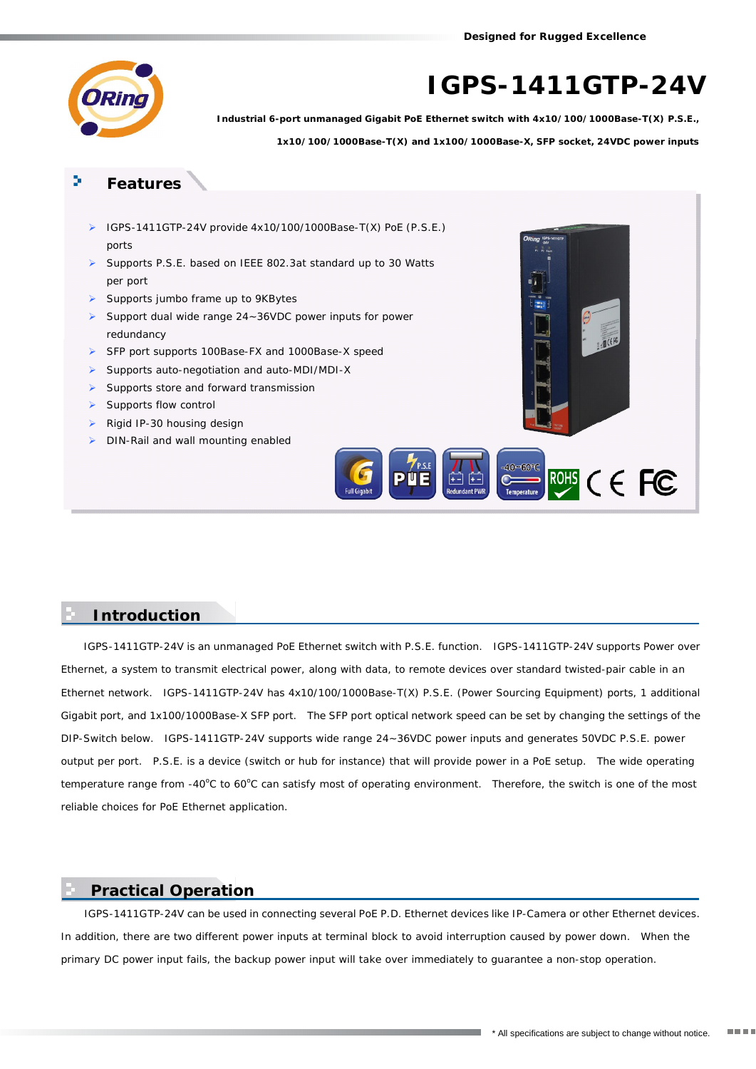**Designed for Rugged Excellence**



# *IGPS-1411GTP-24V*

*Industrial 6-port unmanaged Gigabit PoE Ethernet switch with 4x10/100/1000Base-T(X) P.S.E., 1x10/100/1000Base-T(X) and 1x100/1000Base-X, SFP socket, 24VDC power inputs*

### **Features**

- ¾ IGPS-1411GTP-24V provide 4x10/100/1000Base-T(X) PoE (P.S.E.) ports
- ¾ Supports P.S.E. based on IEEE 802.3at standard up to 30 Watts per port
- ¾ Supports jumbo frame up to 9KBytes
- ¾ Support dual wide range 24~36VDC power inputs for power redundancy
- ¾ SFP port supports 100Base-FX and 1000Base-X speed
- ¾ Supports auto-negotiation and auto-MDI/MDI-X
- $\blacktriangleright$  Supports store and forward transmission
- Supports flow control
- ¾ Rigid IP-30 housing design
- DIN-Rail and wall mounting enabled



#### **Introduction**

IGPS-1411GTP-24V is an unmanaged PoE Ethernet switch with P.S.E. function. IGPS-1411GTP-24V supports Power over Ethernet, a system to transmit electrical power, along with data, to remote devices over standard twisted-pair cable in an Ethernet network. IGPS-1411GTP-24V has 4x10/100/1000Base-T(X) P.S.E. (Power Sourcing Equipment) ports, 1 additional Gigabit port, and 1x100/1000Base-X SFP port. The SFP port optical network speed can be set by changing the settings of the DIP-Switch below. IGPS-1411GTP-24V supports wide range 24~36VDC power inputs and generates 50VDC P.S.E. power output per port. P.S.E. is a device (switch or hub for instance) that will provide power in a PoE setup. The wide operating temperature range from -40°C to 60°C can satisfy most of operating environment. Therefore, the switch is one of the most reliable choices for PoE Ethernet application.

#### **Practical Operation**

 IGPS-1411GTP-24V can be used in connecting several PoE P.D. Ethernet devices like IP-Camera or other Ethernet devices. In addition, there are two different power inputs at terminal block to avoid interruption caused by power down. When the primary DC power input fails, the backup power input will take over immediately to guarantee a non-stop operation.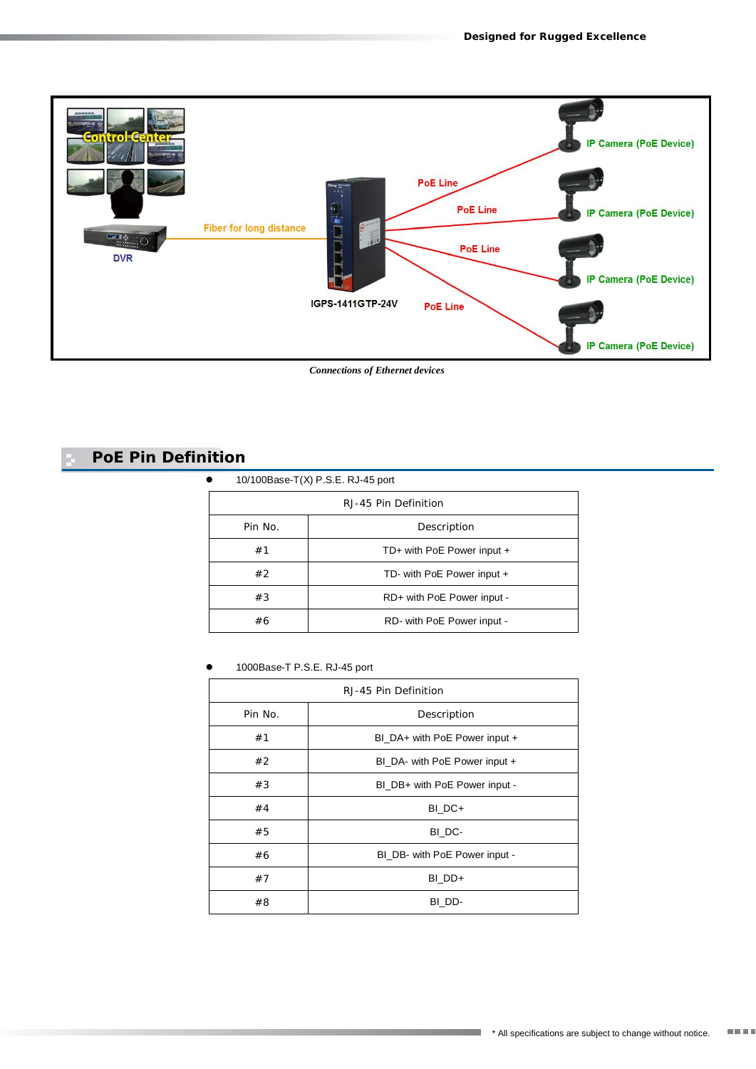

*Connections of Ethernet devices*

# **PoE Pin Definition**

|         | RJ-45 Pin Definition       |
|---------|----------------------------|
| Pin No. | Description                |
| #1      | TD+ with PoE Power input + |
| #2      | TD- with PoE Power input + |
| #3      | RD+ with PoE Power input - |
| #6      | RD- with PoE Power input - |

1000Base-T P.S.E. RJ-45 port

| RJ-45 Pin Definition |                               |  |
|----------------------|-------------------------------|--|
| Pin No.              | Description                   |  |
| #1                   | BI_DA+ with PoE Power input + |  |
| #2                   | BI DA- with PoE Power input + |  |
| #3                   | BI_DB+ with PoE Power input - |  |
| #4                   | BI DC+                        |  |
| #5                   | BI DC-                        |  |
| #6                   | BI_DB- with PoE Power input - |  |
| #7                   | BI DD+                        |  |
| #8                   | BI DD-                        |  |

<u> 1999 - Johann Barnett, f</u>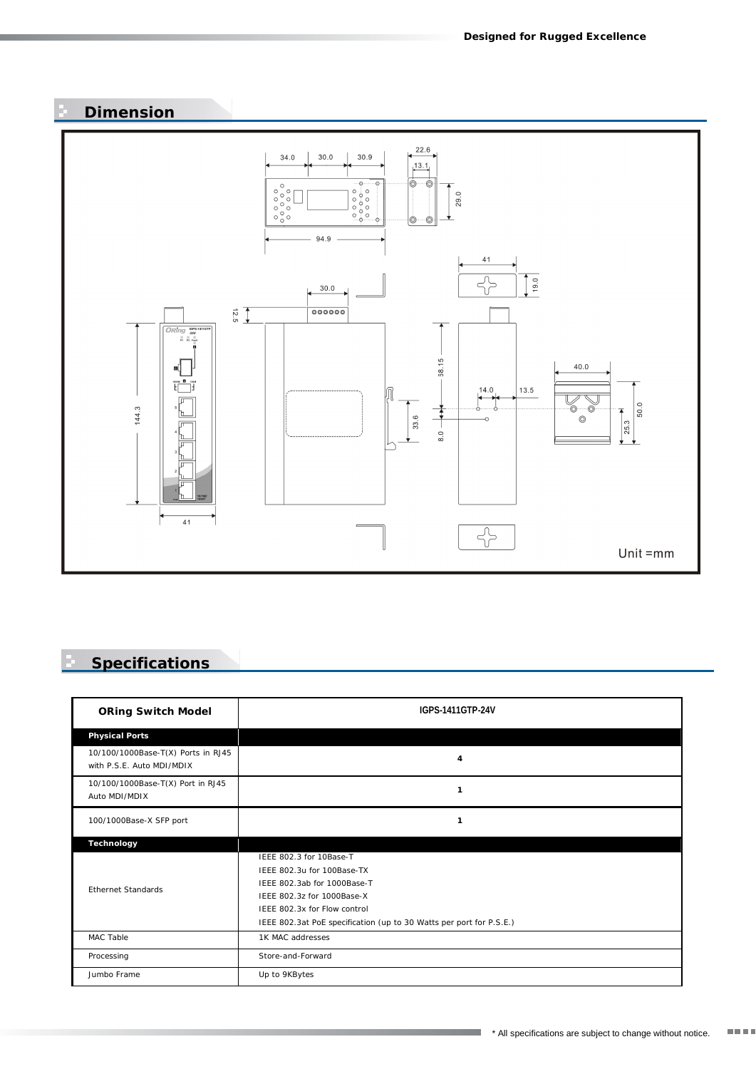## **Dimension**



## **Specifications**

| <b>ORing Switch Model</b>                                       | IGPS-1411GTP-24V                                                                                                                                                                                                          |
|-----------------------------------------------------------------|---------------------------------------------------------------------------------------------------------------------------------------------------------------------------------------------------------------------------|
| Physical Ports                                                  |                                                                                                                                                                                                                           |
| 10/100/1000Base-T(X) Ports in RJ45<br>with P.S.E. Auto MDI/MDIX | $\overline{4}$                                                                                                                                                                                                            |
| 10/100/1000Base-T(X) Port in RJ45<br>Auto MDI/MDIX              | $\mathbf{1}$                                                                                                                                                                                                              |
| 100/1000Base-X SFP port                                         | $\mathbf{1}$                                                                                                                                                                                                              |
| Technology                                                      |                                                                                                                                                                                                                           |
| <b>Fthernet Standards</b>                                       | IFFF 802.3 for 10Base-T<br>IEEE 802.3u for 100Base-TX<br>IEEE 802.3ab for 1000Base-T<br>IFFF 802.3z for 1000Base-X<br>IEEE 802.3x for Flow control<br>IEEE 802.3at PoE specification (up to 30 Watts per port for P.S.E.) |
| MAC Table                                                       | 1K MAC addresses                                                                                                                                                                                                          |
| Processing                                                      | Store-and-Forward                                                                                                                                                                                                         |
| Jumbo Frame                                                     | Up to 9KBytes                                                                                                                                                                                                             |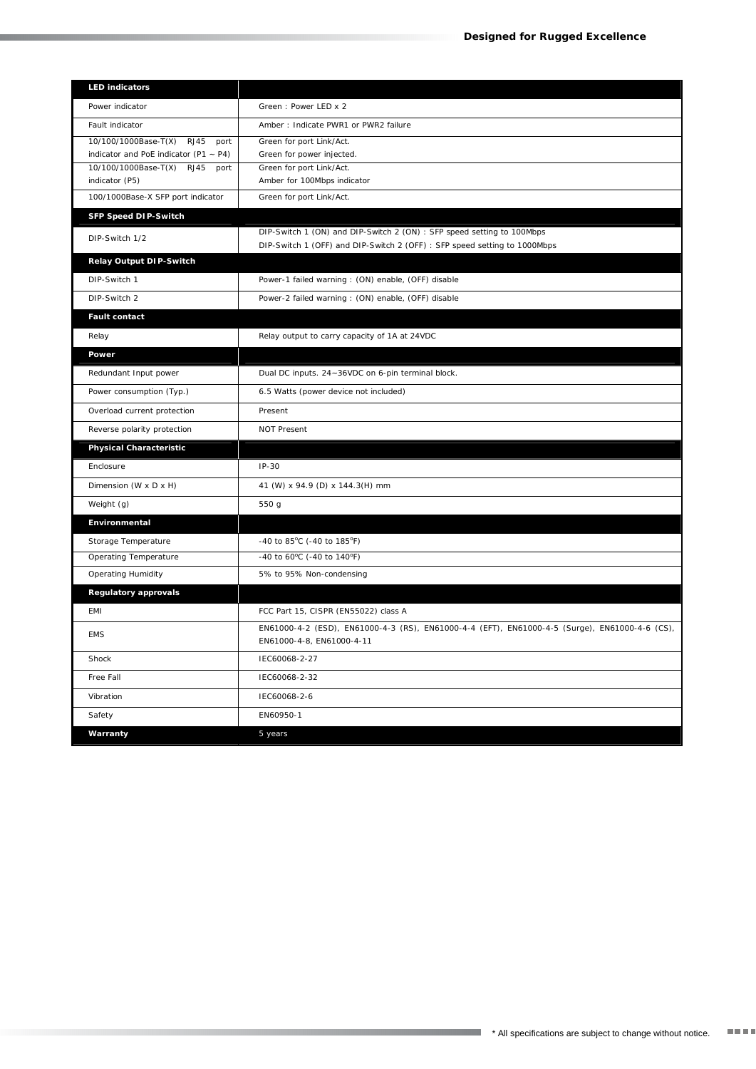| <b>LED</b> indicators                      |                                                                                                                             |
|--------------------------------------------|-----------------------------------------------------------------------------------------------------------------------------|
| Power indicator                            | Green: Power LED x 2                                                                                                        |
| Fault indicator                            | Amber: Indicate PWR1 or PWR2 failure                                                                                        |
| 10/100/1000Base-T(X) RJ45<br>port          | Green for port Link/Act.                                                                                                    |
| indicator and PoE indicator (P1 $\sim$ P4) | Green for power injected.                                                                                                   |
| 10/100/1000Base-T(X) RJ45 port             | Green for port Link/Act.                                                                                                    |
| indicator (P5)                             | Amber for 100Mbps indicator                                                                                                 |
| 100/1000Base-X SFP port indicator          | Green for port Link/Act.                                                                                                    |
| SFP Speed DIP-Switch                       |                                                                                                                             |
| DIP-Switch 1/2                             | DIP-Switch 1 (ON) and DIP-Switch 2 (ON) : SFP speed setting to 100Mbps                                                      |
|                                            | DIP-Switch 1 (OFF) and DIP-Switch 2 (OFF) : SFP speed setting to 1000Mbps                                                   |
| Relay Output DIP-Switch                    |                                                                                                                             |
| DIP-Switch 1                               | Power-1 failed warning : (ON) enable, (OFF) disable                                                                         |
| DIP-Switch 2                               | Power-2 failed warning: (ON) enable, (OFF) disable                                                                          |
| Fault contact                              |                                                                                                                             |
| Relay                                      | Relay output to carry capacity of 1A at 24VDC                                                                               |
| Power                                      |                                                                                                                             |
| Redundant Input power                      | Dual DC inputs. 24~36VDC on 6-pin terminal block.                                                                           |
| Power consumption (Typ.)                   | 6.5 Watts (power device not included)                                                                                       |
| Overload current protection                | Present                                                                                                                     |
| Reverse polarity protection                | <b>NOT Present</b>                                                                                                          |
| Physical Characteristic                    |                                                                                                                             |
| Enclosure                                  | $IP-30$                                                                                                                     |
| Dimension (W x D x H)                      | 41 (W) x 94.9 (D) x 144.3(H) mm                                                                                             |
| Weight (g)                                 | 550 g                                                                                                                       |
| Environmental                              |                                                                                                                             |
| Storage Temperature                        | -40 to 85°C (-40 to 185°F)                                                                                                  |
| Operating Temperature                      | -40 to 60°C (-40 to 140°F)                                                                                                  |
| <b>Operating Humidity</b>                  | 5% to 95% Non-condensing                                                                                                    |
| Regulatory approvals                       |                                                                                                                             |
| <b>EMI</b>                                 | FCC Part 15, CISPR (EN55022) class A                                                                                        |
| <b>EMS</b>                                 | EN61000-4-2 (ESD), EN61000-4-3 (RS), EN61000-4-4 (EFT), EN61000-4-5 (Surge), EN61000-4-6 (CS),<br>EN61000-4-8, EN61000-4-11 |
| Shock                                      | IEC60068-2-27                                                                                                               |
| Free Fall                                  | IEC60068-2-32                                                                                                               |
| Vibration                                  | IEC60068-2-6                                                                                                                |
| Safety                                     | EN60950-1                                                                                                                   |
| Warranty                                   | 5 years                                                                                                                     |